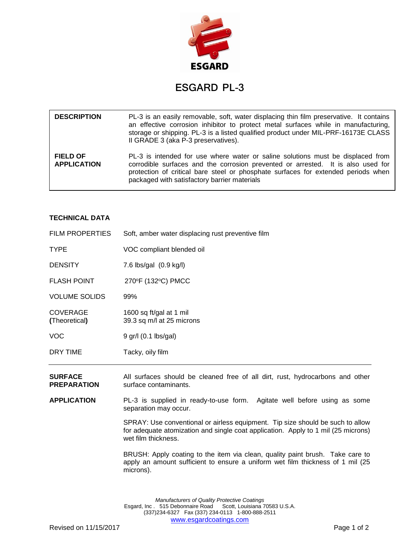

## ESGARD PL-3

| <b>DESCRIPTION</b>                    | PL-3 is an easily removable, soft, water displacing thin film preservative. It contains<br>an effective corrosion inhibitor to protect metal surfaces while in manufacturing,<br>storage or shipping. PL-3 is a listed qualified product under MIL-PRF-16173E CLASS<br>II GRADE 3 (aka P-3 preservatives). |
|---------------------------------------|------------------------------------------------------------------------------------------------------------------------------------------------------------------------------------------------------------------------------------------------------------------------------------------------------------|
| <b>FIELD OF</b><br><b>APPLICATION</b> | PL-3 is intended for use where water or saline solutions must be displaced from<br>corrodible surfaces and the corrosion prevented or arrested. It is also used for<br>protection of critical bare steel or phosphate surfaces for extended periods when<br>packaged with satisfactory barrier materials   |

## **TECHNICAL DATA**

| <b>FILM PROPERTIES</b>           | Soft, amber water displacing rust preventive film    |
|----------------------------------|------------------------------------------------------|
| TYPE                             | VOC compliant blended oil                            |
| <b>DENSITY</b>                   | 7.6 lbs/gal (0.9 kg/l)                               |
| <b>FLASH POINT</b>               | 270°F (132°C) PMCC                                   |
| <b>VOLUME SOLIDS</b>             | 99%                                                  |
| <b>COVERAGE</b><br>(Theoretical) | 1600 sq ft/gal at 1 mil<br>39.3 sq m/l at 25 microns |
| VOC                              | 9 gr/l (0.1 lbs/gal)                                 |
| DRY TIME                         | Tacky, oily film                                     |

**SURFACE** All surfaces should be cleaned free of all dirt, rust, hydrocarbons and other **PREPARATION** surface contaminants.

**APPLICATION** PL-3 is supplied in ready-to-use form. Agitate well before using as some separation may occur.

> SPRAY: Use conventional or airless equipment. Tip size should be such to allow for adequate atomization and single coat application. Apply to 1 mil (25 microns) wet film thickness.

> BRUSH: Apply coating to the item via clean, quality paint brush. Take care to apply an amount sufficient to ensure a uniform wet film thickness of 1 mil (25 microns).